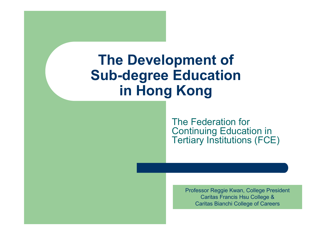## The Development of Sub-degree Education in Hong Kong

The Federation for Continuing Education in Tertiary Institutions (FCE)

> Professor Reggie Kwan, College PresidentCaritas Francis Hsu College &Caritas Bianchi College of Careers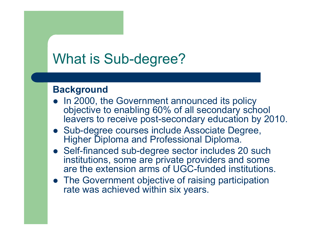# What is Sub-degree?

#### **Background**

- In 2000, the Government announced its policy objective to enabling 60% of all secondary school leavers to receive post-secondary education by 2010.
- Sub-degree courses include Associate Degree, Higher Diploma and Professional Diploma.
- Self-financed sub-degree sector includes 20 such<br>institutions, some are private providers and some institutions, some are private providers and some are the extension arms of UGC-funded institutions.
- The Government objective of raising participation rate was achieved within six years.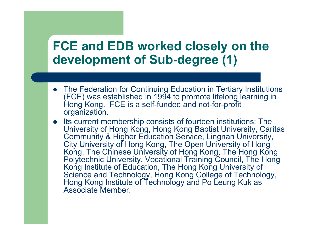### FCE and EDB worked closely on the development of Sub-degree (1)

- The Federation for Continuing Education in Tertiary Institutions<br>(FCF) was astablished in 1004 to premete lifeleng learning in (FCE) was established in 1994 to promote lifelong learning in Hong Kong. FCE is a self-funded and not-for-profit organization.
- Its current membership consists of fourteen institutions: The University of Hong Kong, Hong Kong Baptist University, Caritas Community & Higher Education Service, Lingnan University,<br>City University of Hong Kong, The Open University of Hong City University of Hong Kong, The Open University of Hong Kong, The Chinese University of Hong Kong, The Hong Kong Polytechnic University, Vocational Training Council, The Hong Kong Institute of Education, The Hong Kong University of Science and Technology, Hong Kong College of Technology, Hong Kong Institute of Technology and Po Leung Kuk as Associate Member.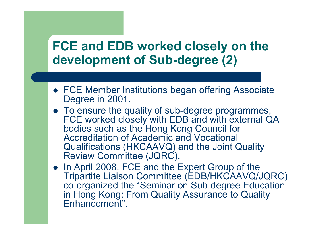### FCE and EDB worked closely on the development of Sub-degree (2)

- FCE Member Institutions began offering Associate Degree in 2001.
- To ensure the quality of sub-degree programmes, FCE worked closely with EDB and with external QA bodies such as the Hong Kong Council for Accreditation of Academic and Vocational Qualifications (HKCAAVQ) and the Joint Quality Review Committee (JQRC).
- In April 2008, FCE and the Expert Group of the<br>
Tripertite Ligisco Committee (EDB/HKCAA)/O/I Tripartite Liaison Committee (EDB/HKCAAVQ/JQRC) co-organized the "Seminar on Sub-degree Education in Hong Kong: From Quality Assurance to Quality Enhancement".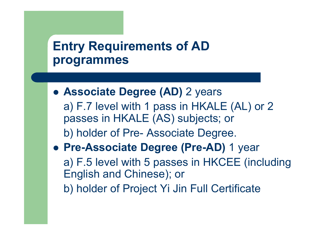## Entry Requirements of AD programmes

- Associate Degree (AD) 2 years a) F.7 level with 1 pass in HKALE (AL) or 2 passes in HKALE (AS) subjects; orb) holder of Pre- Associate Degree.
- Pre-Associate Degree (Pre-AD) 1 year a) F.5 level with 5 passes in HKCEE (including English and Chinese); orb) holder of Project Yi Jin Full Certificate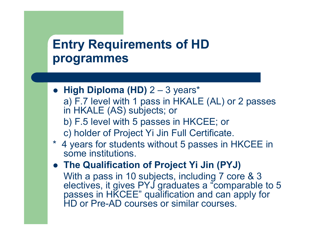## Entry Requirements of HD programmes

- High Diploma (HD)  $2 3$  years\* a) F.7 level with 1 pass in HKALE (AL) or 2 passes in HKALE (AS) subjects; or b) F.5 level with 5 passes in HKCEE; orc) holder of Project Yi Jin Full Certificate.
- \* 4 years for students without 5 passes in HKCEE in some institutions.
- The Qualification of Project Yi Jin (PYJ) With a pass in 10 subjects, including 7 core & 3 electives, it gives PYJ graduates a "comparable to 5 passes in HKCEE" qualification and can apply for HD or Pre-AD courses or similar courses.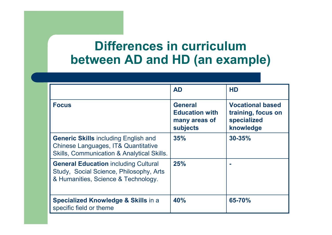### Differences in curriculum between AD and HD (an example)

|                                                                                                                                             | <b>AD</b>                                                            | <b>HD</b>                                                                 |
|---------------------------------------------------------------------------------------------------------------------------------------------|----------------------------------------------------------------------|---------------------------------------------------------------------------|
| <b>Focus</b>                                                                                                                                | <b>General</b><br><b>Education with</b><br>many areas of<br>subjects | <b>Vocational based</b><br>training, focus on<br>specialized<br>knowledge |
| <b>Generic Skills including English and</b><br>Chinese Languages, IT& Quantitative<br><b>Skills, Communication &amp; Analytical Skills.</b> | 35%                                                                  | $30 - 35%$                                                                |
| <b>General Education including Cultural</b><br>Study, Social Science, Philosophy, Arts<br>& Humanities, Science & Technology.               | 25%                                                                  |                                                                           |
| <b>Specialized Knowledge &amp; Skills in a</b><br>specific field or theme                                                                   | 40%                                                                  | 65-70%                                                                    |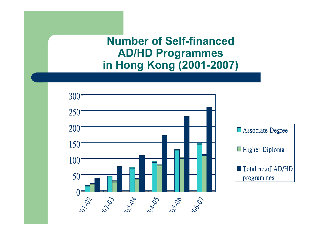#### Number of Self-financed AD/HD Programmesin Hong Kong (2001-2007)

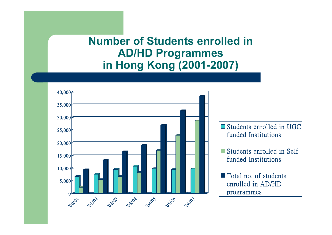#### Number of Students enrolled in AD/HD Programmesin Hong Kong (2001-2007)

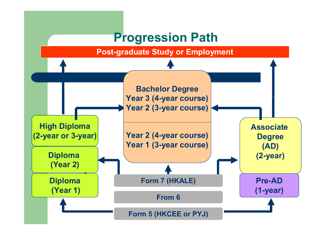#### Progression Path

Post-graduate Study or Employment